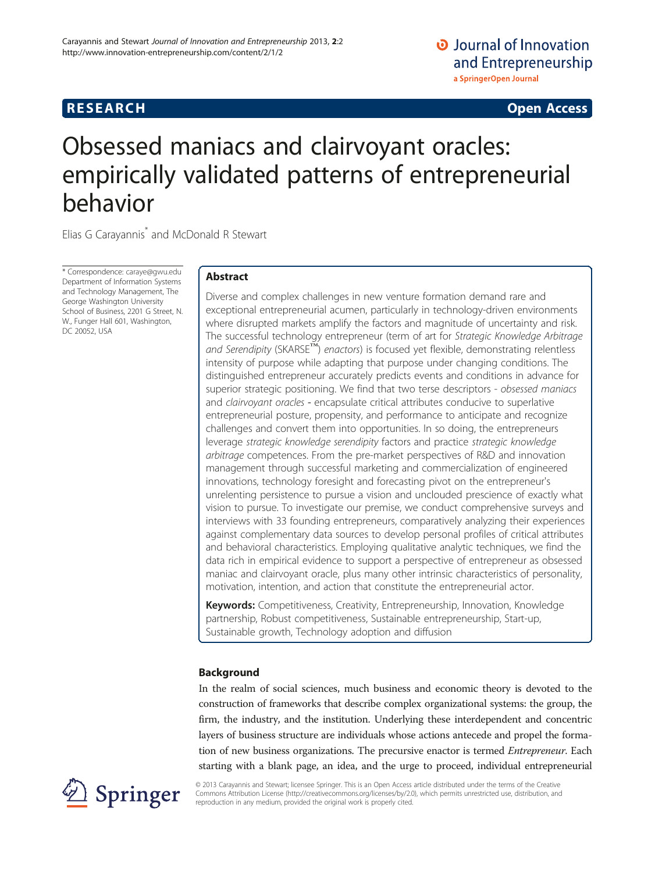# **RESEARCH RESEARCH CONSUMING ACCESS**

# Obsessed maniacs and clairvoyant oracles: empirically validated patterns of entrepreneurial behavior

Elias G Carayannis\* and McDonald R Stewart

\* Correspondence: [caraye@gwu.edu](mailto:caraye@gwu.edu) Department of Information Systems and Technology Management, The George Washington University School of Business, 2201 G Street, N. W., Funger Hall 601, Washington, DC 20052, USA

# Abstract

Diverse and complex challenges in new venture formation demand rare and exceptional entrepreneurial acumen, particularly in technology-driven environments where disrupted markets amplify the factors and magnitude of uncertainty and risk. The successful technology entrepreneur (term of art for Strategic Knowledge Arbitrage and Serendipity (SKARSE™) enactors) is focused yet flexible, demonstrating relentless intensity of purpose while adapting that purpose under changing conditions. The distinguished entrepreneur accurately predicts events and conditions in advance for superior strategic positioning. We find that two terse descriptors - obsessed maniacs and *clairvoyant oracles* - encapsulate critical attributes conducive to superlative entrepreneurial posture, propensity, and performance to anticipate and recognize challenges and convert them into opportunities. In so doing, the entrepreneurs leverage strategic knowledge serendipity factors and practice strategic knowledge arbitrage competences. From the pre-market perspectives of R&D and innovation management through successful marketing and commercialization of engineered innovations, technology foresight and forecasting pivot on the entrepreneur's unrelenting persistence to pursue a vision and unclouded prescience of exactly what vision to pursue. To investigate our premise, we conduct comprehensive surveys and interviews with 33 founding entrepreneurs, comparatively analyzing their experiences against complementary data sources to develop personal profiles of critical attributes and behavioral characteristics. Employing qualitative analytic techniques, we find the data rich in empirical evidence to support a perspective of entrepreneur as obsessed maniac and clairvoyant oracle, plus many other intrinsic characteristics of personality, motivation, intention, and action that constitute the entrepreneurial actor.

Keywords: Competitiveness, Creativity, Entrepreneurship, Innovation, Knowledge partnership, Robust competitiveness, Sustainable entrepreneurship, Start-up, Sustainable growth, Technology adoption and diffusion

# Background

In the realm of social sciences, much business and economic theory is devoted to the construction of frameworks that describe complex organizational systems: the group, the firm, the industry, and the institution. Underlying these interdependent and concentric layers of business structure are individuals whose actions antecede and propel the formation of new business organizations. The precursive enactor is termed *Entrepreneur*. Each starting with a blank page, an idea, and the urge to proceed, individual entrepreneurial



© 2013 Carayannis and Stewart; licensee Springer. This is an Open Access article distributed under the terms of the Creative Commons Attribution License (<http://creativecommons.org/licenses/by/2.0>), which permits unrestricted use, distribution, and reproduction in any medium, provided the original work is properly cited.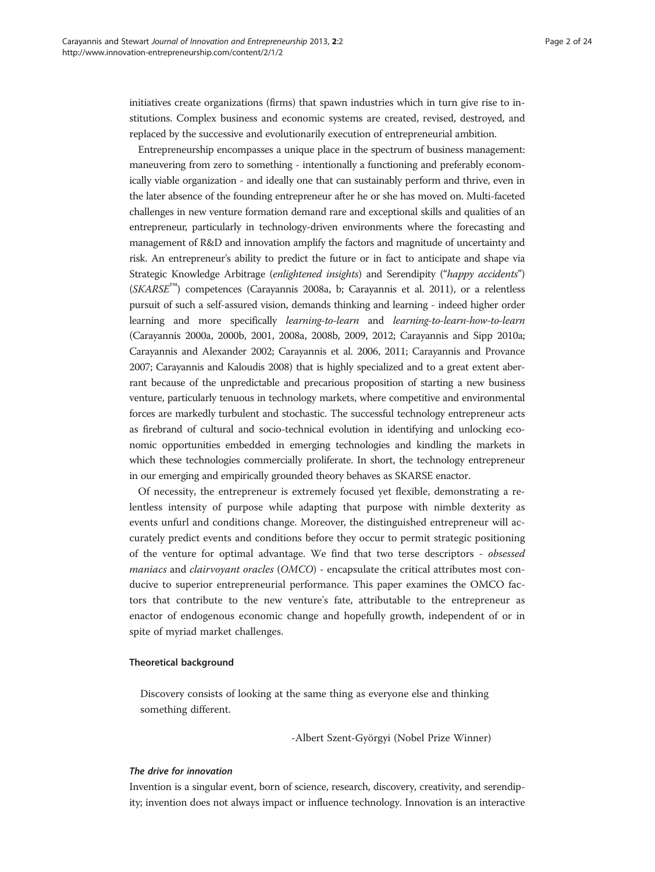initiatives create organizations (firms) that spawn industries which in turn give rise to institutions. Complex business and economic systems are created, revised, destroyed, and replaced by the successive and evolutionarily execution of entrepreneurial ambition.

Entrepreneurship encompasses a unique place in the spectrum of business management: maneuvering from zero to something - intentionally a functioning and preferably economically viable organization - and ideally one that can sustainably perform and thrive, even in the later absence of the founding entrepreneur after he or she has moved on. Multi-faceted challenges in new venture formation demand rare and exceptional skills and qualities of an entrepreneur, particularly in technology-driven environments where the forecasting and management of R&D and innovation amplify the factors and magnitude of uncertainty and risk. An entrepreneur's ability to predict the future or in fact to anticipate and shape via Strategic Knowledge Arbitrage (enlightened insights) and Serendipity ("happy accidents")  $(SKARSE<sup>rw</sup>)$  competences (Carayannis [2008a](#page-22-0), [b;](#page-22-0) Carayannis et al. [2011](#page-23-0)), or a relentless pursuit of such a self-assured vision, demands thinking and learning - indeed higher order learning and more specifically learning-to-learn and learning-to-learn-how-to-learn (Carayannis [2000a, 2000b](#page-22-0), [2001](#page-22-0), [2008a](#page-22-0), [2008b](#page-22-0), [2009, 2012;](#page-22-0) Carayannis and Sipp [2010a](#page-22-0); Carayannis and Alexander [2002](#page-22-0); Carayannis et al. [2006, 2011](#page-23-0); Carayannis and Provance [2007;](#page-22-0) Carayannis and Kaloudis [2008](#page-22-0)) that is highly specialized and to a great extent aberrant because of the unpredictable and precarious proposition of starting a new business venture, particularly tenuous in technology markets, where competitive and environmental forces are markedly turbulent and stochastic. The successful technology entrepreneur acts as firebrand of cultural and socio-technical evolution in identifying and unlocking economic opportunities embedded in emerging technologies and kindling the markets in which these technologies commercially proliferate. In short, the technology entrepreneur in our emerging and empirically grounded theory behaves as SKARSE enactor.

Of necessity, the entrepreneur is extremely focused yet flexible, demonstrating a relentless intensity of purpose while adapting that purpose with nimble dexterity as events unfurl and conditions change. Moreover, the distinguished entrepreneur will accurately predict events and conditions before they occur to permit strategic positioning of the venture for optimal advantage. We find that two terse descriptors - obsessed maniacs and *clairvoyant oracles* (OMCO) - encapsulate the critical attributes most conducive to superior entrepreneurial performance. This paper examines the OMCO factors that contribute to the new venture's fate, attributable to the entrepreneur as enactor of endogenous economic change and hopefully growth, independent of or in spite of myriad market challenges.

#### Theoretical background

Discovery consists of looking at the same thing as everyone else and thinking something different.

-Albert Szent-Györgyi (Nobel Prize Winner)

#### The drive for innovation

Invention is a singular event, born of science, research, discovery, creativity, and serendipity; invention does not always impact or influence technology. Innovation is an interactive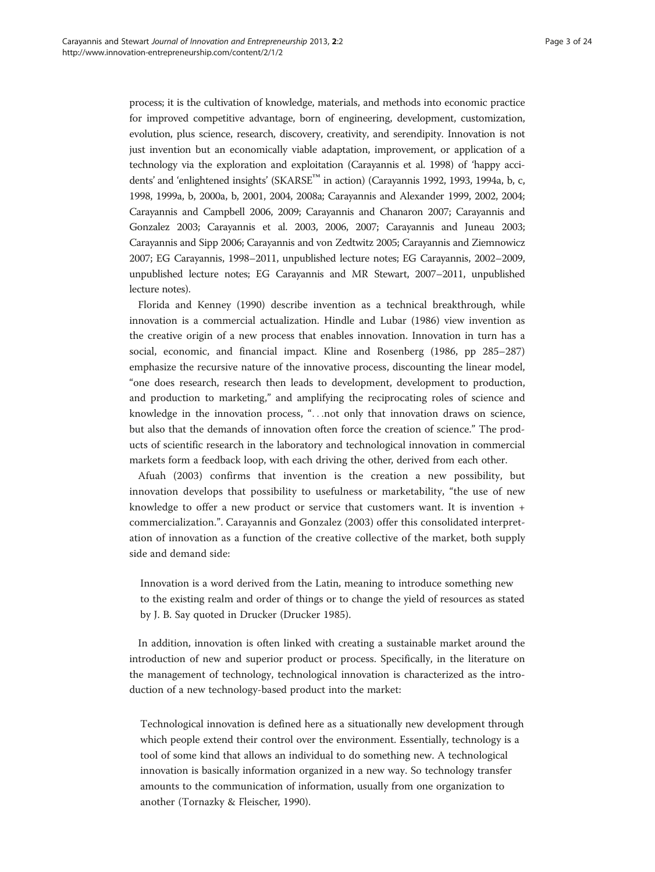process; it is the cultivation of knowledge, materials, and methods into economic practice for improved competitive advantage, born of engineering, development, customization, evolution, plus science, research, discovery, creativity, and serendipity. Innovation is not just invention but an economically viable adaptation, improvement, or application of a technology via the exploration and exploitation (Carayannis et al. [1998\)](#page-23-0) of 'happy accidents' and 'enlightened insights' (SKARSE™ in action) (Carayannis [1992, 1993, 1994a](#page-22-0), [b](#page-22-0), [c](#page-22-0), [1998, 1999a](#page-22-0), [b](#page-22-0), [2000a, b](#page-22-0), [2001, 2004](#page-22-0), [2008a;](#page-22-0) Carayannis and Alexander [1999, 2002, 2004](#page-22-0); Carayannis and Campbell [2006](#page-22-0), [2009;](#page-22-0) Carayannis and Chanaron [2007](#page-22-0); Carayannis and Gonzalez [2003](#page-22-0); Carayannis et al. [2003](#page-23-0), [2006, 2007;](#page-23-0) Carayannis and Juneau [2003](#page-22-0); Carayannis and Sipp [2006;](#page-22-0) Carayannis and von Zedtwitz [2005](#page-22-0); Carayannis and Ziemnowicz [2007;](#page-22-0) EG Carayannis, [1998](#page-22-0)–2011, unpublished lecture notes; EG Carayannis, [2002](#page-22-0)–[2009](#page-22-0), unpublished lecture notes; EG Carayannis and MR Stewart, 2007–2011, unpublished lecture notes).

Florida and Kenney [\(1990](#page-23-0)) describe invention as a technical breakthrough, while innovation is a commercial actualization. Hindle and Lubar [\(1986\)](#page-23-0) view invention as the creative origin of a new process that enables innovation. Innovation in turn has a social, economic, and financial impact. Kline and Rosenberg ([1986](#page-23-0), pp 285–287) emphasize the recursive nature of the innovative process, discounting the linear model, "one does research, research then leads to development, development to production, and production to marketing," and amplifying the reciprocating roles of science and knowledge in the innovation process, "...not only that innovation draws on science, but also that the demands of innovation often force the creation of science." The products of scientific research in the laboratory and technological innovation in commercial markets form a feedback loop, with each driving the other, derived from each other.

Afuah ([2003](#page-22-0)) confirms that invention is the creation a new possibility, but innovation develops that possibility to usefulness or marketability, "the use of new knowledge to offer a new product or service that customers want. It is invention + commercialization.". Carayannis and Gonzalez ([2003\)](#page-22-0) offer this consolidated interpretation of innovation as a function of the creative collective of the market, both supply side and demand side:

Innovation is a word derived from the Latin, meaning to introduce something new to the existing realm and order of things or to change the yield of resources as stated by J. B. Say quoted in Drucker (Drucker [1985\)](#page-23-0).

In addition, innovation is often linked with creating a sustainable market around the introduction of new and superior product or process. Specifically, in the literature on the management of technology, technological innovation is characterized as the introduction of a new technology-based product into the market:

Technological innovation is defined here as a situationally new development through which people extend their control over the environment. Essentially, technology is a tool of some kind that allows an individual to do something new. A technological innovation is basically information organized in a new way. So technology transfer amounts to the communication of information, usually from one organization to another (Tornazky & Fleischer, 1990).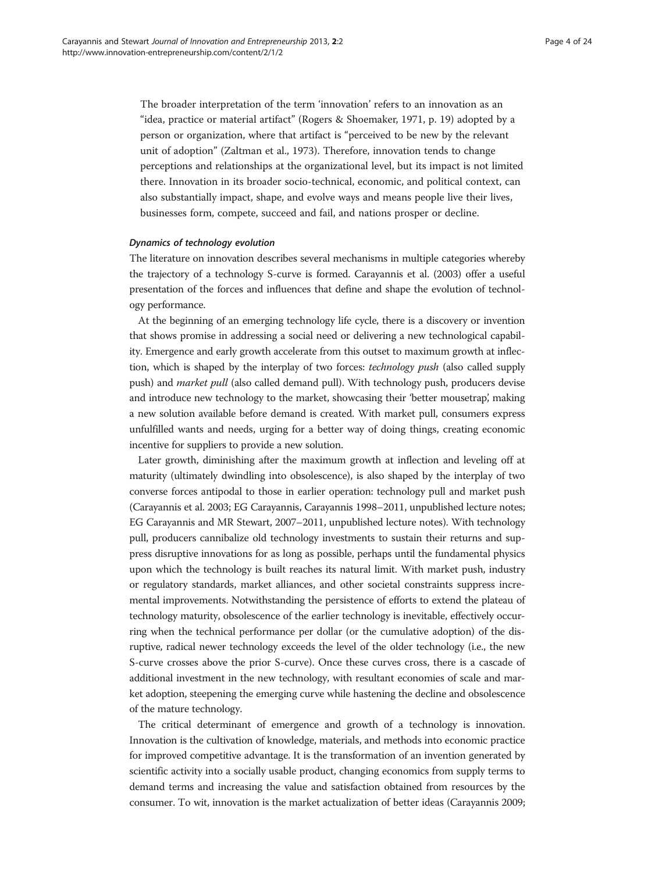The broader interpretation of the term 'innovation' refers to an innovation as an "idea, practice or material artifact" (Rogers & Shoemaker, 1971, p. 19) adopted by a person or organization, where that artifact is "perceived to be new by the relevant unit of adoption" (Zaltman et al., 1973). Therefore, innovation tends to change perceptions and relationships at the organizational level, but its impact is not limited there. Innovation in its broader socio-technical, economic, and political context, can also substantially impact, shape, and evolve ways and means people live their lives, businesses form, compete, succeed and fail, and nations prosper or decline.

#### Dynamics of technology evolution

The literature on innovation describes several mechanisms in multiple categories whereby the trajectory of a technology S-curve is formed. Carayannis et al. [\(2003\)](#page-23-0) offer a useful presentation of the forces and influences that define and shape the evolution of technology performance.

At the beginning of an emerging technology life cycle, there is a discovery or invention that shows promise in addressing a social need or delivering a new technological capability. Emergence and early growth accelerate from this outset to maximum growth at inflection, which is shaped by the interplay of two forces: technology push (also called supply push) and *market pull* (also called demand pull). With technology push, producers devise and introduce new technology to the market, showcasing their 'better mousetrap', making a new solution available before demand is created. With market pull, consumers express unfulfilled wants and needs, urging for a better way of doing things, creating economic incentive for suppliers to provide a new solution.

Later growth, diminishing after the maximum growth at inflection and leveling off at maturity (ultimately dwindling into obsolescence), is also shaped by the interplay of two converse forces antipodal to those in earlier operation: technology pull and market push (Carayannis et al. [2003](#page-23-0); EG Carayannis, Carayannis [1998](#page-22-0)–[2011,](#page-23-0) unpublished lecture notes; EG Carayannis and MR Stewart, [2007](#page-23-0)–[2011,](#page-23-0) unpublished lecture notes). With technology pull, producers cannibalize old technology investments to sustain their returns and suppress disruptive innovations for as long as possible, perhaps until the fundamental physics upon which the technology is built reaches its natural limit. With market push, industry or regulatory standards, market alliances, and other societal constraints suppress incremental improvements. Notwithstanding the persistence of efforts to extend the plateau of technology maturity, obsolescence of the earlier technology is inevitable, effectively occurring when the technical performance per dollar (or the cumulative adoption) of the disruptive, radical newer technology exceeds the level of the older technology (i.e., the new S-curve crosses above the prior S-curve). Once these curves cross, there is a cascade of additional investment in the new technology, with resultant economies of scale and market adoption, steepening the emerging curve while hastening the decline and obsolescence of the mature technology.

The critical determinant of emergence and growth of a technology is innovation. Innovation is the cultivation of knowledge, materials, and methods into economic practice for improved competitive advantage. It is the transformation of an invention generated by scientific activity into a socially usable product, changing economics from supply terms to demand terms and increasing the value and satisfaction obtained from resources by the consumer. To wit, innovation is the market actualization of better ideas (Carayannis [2009](#page-22-0);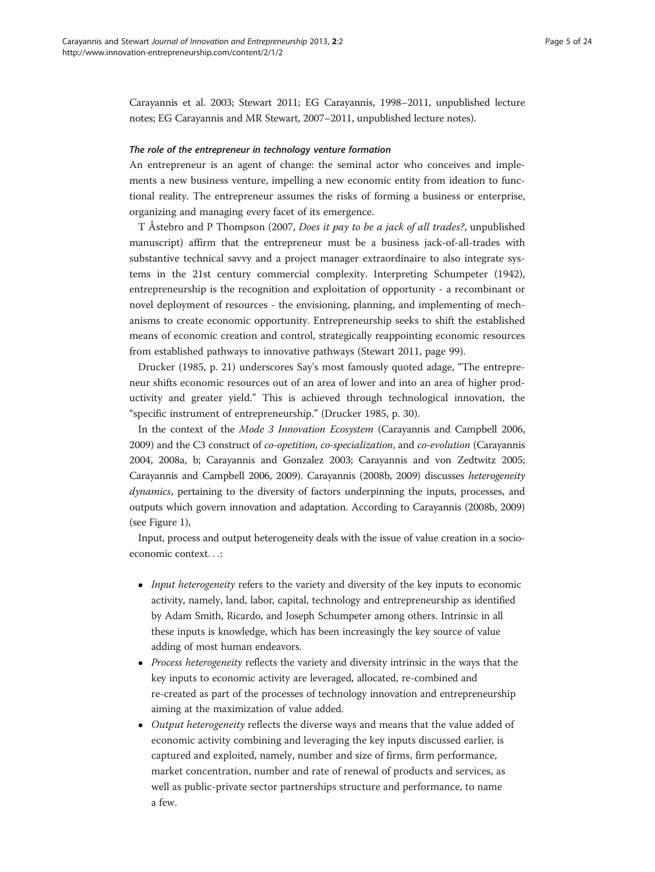Carayannis et al. [2003;](#page-23-0) Stewart [2011](#page-23-0); EG Carayannis, [1998](#page-22-0)–[2011,](#page-23-0) unpublished lecture notes; EG Carayannis and MR Stewart, [2007](#page-23-0)–[2011](#page-23-0), unpublished lecture notes).

#### The role of the entrepreneur in technology venture formation

An entrepreneur is an agent of change: the seminal actor who conceives and implements a new business venture, impelling a new economic entity from ideation to functional reality. The entrepreneur assumes the risks of forming a business or enterprise, organizing and managing every facet of its emergence.

T Åstebro and P Thompson (2007, Does it pay to be a jack of all trades?, unpublished manuscript) affirm that the entrepreneur must be a business jack-of-all-trades with substantive technical savvy and a project manager extraordinaire to also integrate systems in the 21st century commercial complexity. Interpreting Schumpeter ([1942](#page-23-0)), entrepreneurship is the recognition and exploitation of opportunity - a recombinant or novel deployment of resources - the envisioning, planning, and implementing of mechanisms to create economic opportunity. Entrepreneurship seeks to shift the established means of economic creation and control, strategically reappointing economic resources from established pathways to innovative pathways (Stewart [2011,](#page-23-0) page 99).

Drucker ([1985](#page-23-0), p. 21) underscores Say's most famously quoted adage, "The entrepreneur shifts economic resources out of an area of lower and into an area of higher productivity and greater yield." This is achieved through technological innovation, the "specific instrument of entrepreneurship." (Drucker [1985](#page-23-0), p. 30).

In the context of the Mode 3 Innovation Ecosystem (Carayannis and Campbell [2006](#page-22-0), [2009\)](#page-22-0) and the C3 construct of co-opetition, co-specialization, and co-evolution (Carayannis [2004, 2008a, b](#page-22-0); Carayannis and Gonzalez [2003;](#page-22-0) Carayannis and von Zedtwitz [2005](#page-22-0); Carayannis and Campbell [2006](#page-22-0), [2009](#page-22-0)). Carayannis [\(2008b](#page-22-0), [2009\)](#page-22-0) discusses heterogeneity dynamics, pertaining to the diversity of factors underpinning the inputs, processes, and outputs which govern innovation and adaptation. According to Carayannis ([2008b](#page-22-0), [2009](#page-22-0)) (see Figure [1](#page-5-0)),

Input, process and output heterogeneity deals with the issue of value creation in a socioeconomic context...:

- *Input heterogeneity* refers to the variety and diversity of the key inputs to economic activity, namely, land, labor, capital, technology and entrepreneurship as identified by Adam Smith, Ricardo, and Joseph Schumpeter among others. Intrinsic in all these inputs is knowledge, which has been increasingly the key source of value adding of most human endeavors.
- Process heterogeneity reflects the variety and diversity intrinsic in the ways that the key inputs to economic activity are leveraged, allocated, re-combined and re-created as part of the processes of technology innovation and entrepreneurship aiming at the maximization of value added.
- Output heterogeneity reflects the diverse ways and means that the value added of economic activity combining and leveraging the key inputs discussed earlier, is captured and exploited, namely, number and size of firms, firm performance, market concentration, number and rate of renewal of products and services, as well as public-private sector partnerships structure and performance, to name a few.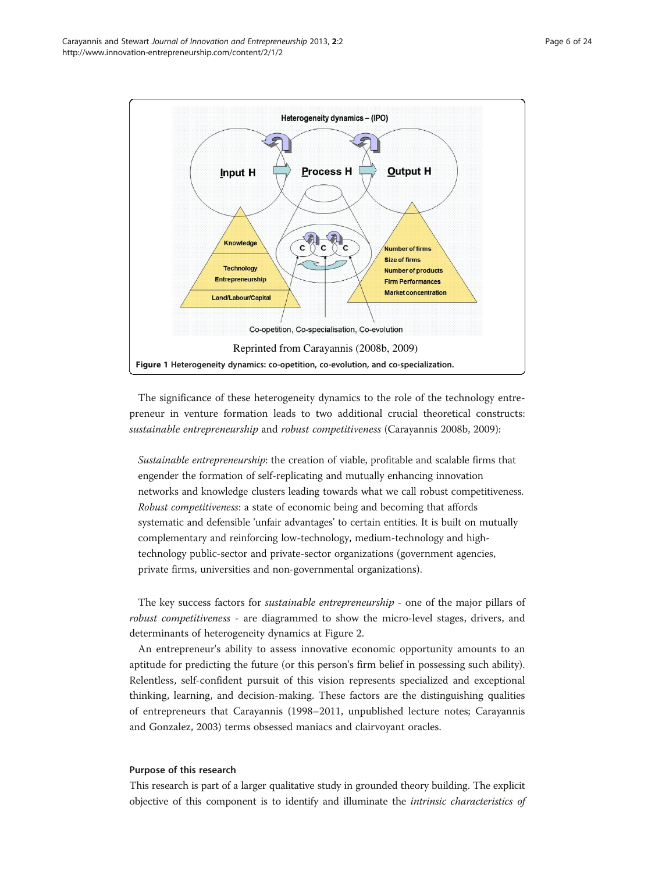<span id="page-5-0"></span>

The significance of these heterogeneity dynamics to the role of the technology entrepreneur in venture formation leads to two additional crucial theoretical constructs: sustainable entrepreneurship and robust competitiveness (Carayannis [2008b, 2009](#page-22-0)):

Sustainable entrepreneurship: the creation of viable, profitable and scalable firms that engender the formation of self-replicating and mutually enhancing innovation networks and knowledge clusters leading towards what we call robust competitiveness. Robust competitiveness: a state of economic being and becoming that affords systematic and defensible 'unfair advantages' to certain entities. It is built on mutually complementary and reinforcing low-technology, medium-technology and hightechnology public-sector and private-sector organizations (government agencies, private firms, universities and non-governmental organizations).

The key success factors for sustainable entrepreneurship - one of the major pillars of robust competitiveness - are diagrammed to show the micro-level stages, drivers, and determinants of heterogeneity dynamics at Figure [2](#page-6-0).

An entrepreneur's ability to assess innovative economic opportunity amounts to an aptitude for predicting the future (or this person's firm belief in possessing such ability). Relentless, self-confident pursuit of this vision represents specialized and exceptional thinking, learning, and decision-making. These factors are the distinguishing qualities of entrepreneurs that Carayannis (1998–2011, unpublished lecture notes; Carayannis and Gonzalez, [2003](#page-22-0)) terms obsessed maniacs and clairvoyant oracles.

#### Purpose of this research

This research is part of a larger qualitative study in grounded theory building. The explicit objective of this component is to identify and illuminate the intrinsic characteristics of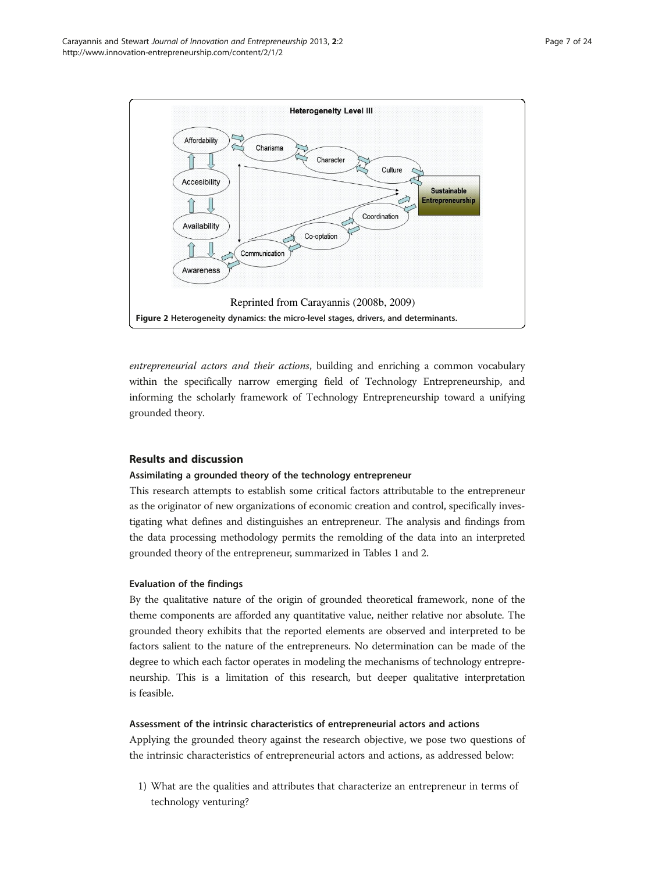<span id="page-6-0"></span>

entrepreneurial actors and their actions, building and enriching a common vocabulary within the specifically narrow emerging field of Technology Entrepreneurship, and informing the scholarly framework of Technology Entrepreneurship toward a unifying grounded theory.

#### Results and discussion

#### Assimilating a grounded theory of the technology entrepreneur

This research attempts to establish some critical factors attributable to the entrepreneur as the originator of new organizations of economic creation and control, specifically investigating what defines and distinguishes an entrepreneur. The analysis and findings from the data processing methodology permits the remolding of the data into an interpreted grounded theory of the entrepreneur, summarized in Tables [1](#page-7-0) and [2.](#page-8-0)

#### Evaluation of the findings

By the qualitative nature of the origin of grounded theoretical framework, none of the theme components are afforded any quantitative value, neither relative nor absolute. The grounded theory exhibits that the reported elements are observed and interpreted to be factors salient to the nature of the entrepreneurs. No determination can be made of the degree to which each factor operates in modeling the mechanisms of technology entrepreneurship. This is a limitation of this research, but deeper qualitative interpretation is feasible.

#### Assessment of the intrinsic characteristics of entrepreneurial actors and actions

Applying the grounded theory against the research objective, we pose two questions of the intrinsic characteristics of entrepreneurial actors and actions, as addressed below:

1) What are the qualities and attributes that characterize an entrepreneur in terms of technology venturing?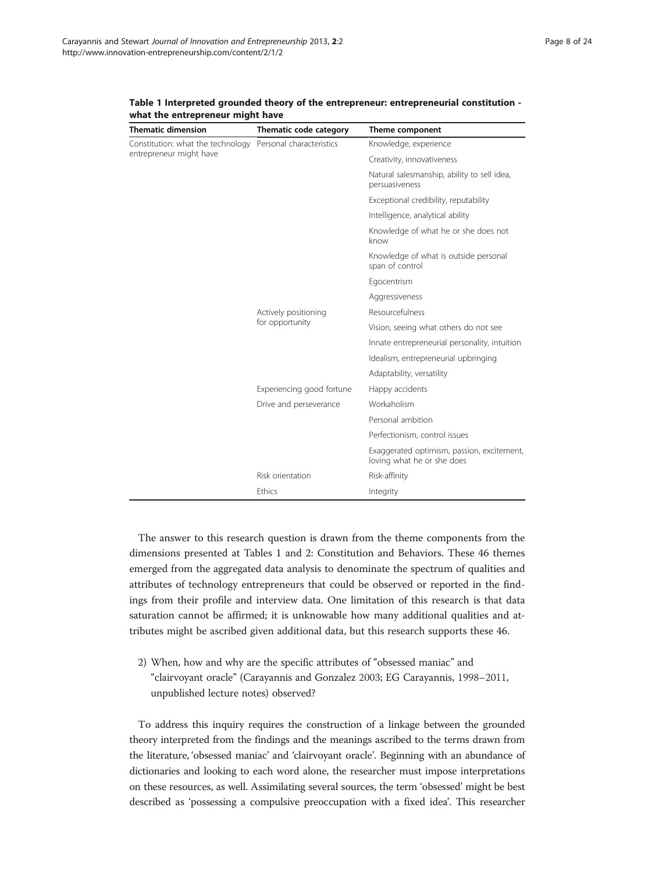| <b>Thematic dimension</b>                                                             | Thematic code category                  | Theme component                                                          |
|---------------------------------------------------------------------------------------|-----------------------------------------|--------------------------------------------------------------------------|
| Constitution: what the technology Personal characteristics<br>entrepreneur might have |                                         | Knowledge, experience                                                    |
|                                                                                       |                                         | Creativity, innovativeness                                               |
|                                                                                       |                                         | Natural salesmanship, ability to sell idea,<br>persuasiveness            |
|                                                                                       |                                         | Exceptional credibility, reputability                                    |
|                                                                                       |                                         | Intelligence, analytical ability                                         |
|                                                                                       |                                         | Knowledge of what he or she does not<br>know                             |
|                                                                                       |                                         | Knowledge of what is outside personal<br>span of control                 |
|                                                                                       |                                         | Egocentrism                                                              |
|                                                                                       |                                         | Aggressiveness                                                           |
|                                                                                       | Actively positioning<br>for opportunity | Resourcefulness                                                          |
|                                                                                       |                                         | Vision, seeing what others do not see                                    |
|                                                                                       |                                         | Innate entrepreneurial personality, intuition                            |
|                                                                                       |                                         | Idealism, entrepreneurial upbringing                                     |
|                                                                                       |                                         | Adaptability, versatility                                                |
|                                                                                       | Experiencing good fortune               | Happy accidents                                                          |
|                                                                                       | Drive and perseverance                  | Workaholism                                                              |
|                                                                                       |                                         | Personal ambition                                                        |
|                                                                                       |                                         | Perfectionism, control issues                                            |
|                                                                                       |                                         | Exaggerated optimism, passion, excitement,<br>loving what he or she does |
|                                                                                       | Risk orientation                        | Risk-affinity                                                            |
|                                                                                       | Ethics                                  | Integrity                                                                |

<span id="page-7-0"></span>Table 1 Interpreted grounded theory of the entrepreneur: entrepreneurial constitution what the entrepreneur might have

The answer to this research question is drawn from the theme components from the dimensions presented at Tables 1 and [2:](#page-8-0) Constitution and Behaviors. These 46 themes emerged from the aggregated data analysis to denominate the spectrum of qualities and attributes of technology entrepreneurs that could be observed or reported in the findings from their profile and interview data. One limitation of this research is that data saturation cannot be affirmed; it is unknowable how many additional qualities and attributes might be ascribed given additional data, but this research supports these 46.

2) When, how and why are the specific attributes of "obsessed maniac" and "clairvoyant oracle" (Carayannis and Gonzalez [2003;](#page-22-0) EG Carayannis, [1998](#page-22-0)–[2011,](#page-23-0) unpublished lecture notes) observed?

To address this inquiry requires the construction of a linkage between the grounded theory interpreted from the findings and the meanings ascribed to the terms drawn from the literature, 'obsessed maniac' and 'clairvoyant oracle'. Beginning with an abundance of dictionaries and looking to each word alone, the researcher must impose interpretations on these resources, as well. Assimilating several sources, the term 'obsessed' might be best described as 'possessing a compulsive preoccupation with a fixed idea'. This researcher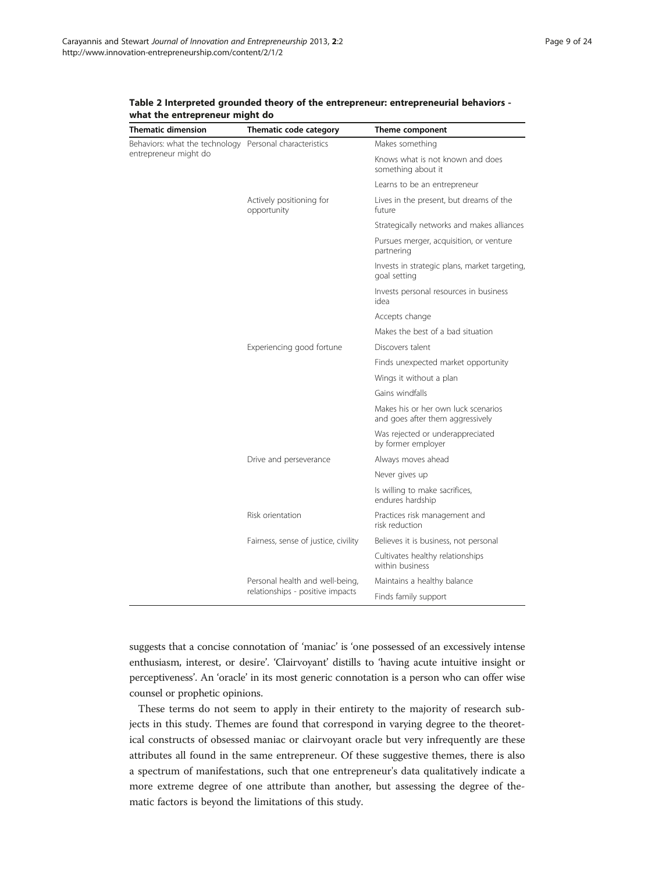| <b>Thematic dimension</b>                                                        | Thematic code category                                              | Theme component                                                         |
|----------------------------------------------------------------------------------|---------------------------------------------------------------------|-------------------------------------------------------------------------|
| Behaviors: what the technology Personal characteristics<br>entrepreneur might do |                                                                     | Makes something                                                         |
|                                                                                  |                                                                     | Knows what is not known and does<br>something about it                  |
|                                                                                  |                                                                     | Learns to be an entrepreneur                                            |
|                                                                                  | Actively positioning for<br>opportunity                             | Lives in the present, but dreams of the<br>future                       |
|                                                                                  |                                                                     | Strategically networks and makes alliances                              |
|                                                                                  |                                                                     | Pursues merger, acquisition, or venture<br>partnering                   |
|                                                                                  |                                                                     | Invests in strategic plans, market targeting,<br>goal setting           |
|                                                                                  |                                                                     | Invests personal resources in business<br>idea                          |
|                                                                                  |                                                                     | Accepts change                                                          |
|                                                                                  |                                                                     | Makes the best of a bad situation                                       |
|                                                                                  | Experiencing good fortune                                           | Discovers talent                                                        |
|                                                                                  |                                                                     | Finds unexpected market opportunity                                     |
|                                                                                  |                                                                     | Wings it without a plan                                                 |
|                                                                                  |                                                                     | Gains windfalls                                                         |
|                                                                                  |                                                                     | Makes his or her own luck scenarios<br>and goes after them aggressively |
|                                                                                  |                                                                     | Was rejected or underappreciated<br>by former employer                  |
|                                                                                  | Drive and perseverance                                              | Always moves ahead                                                      |
|                                                                                  |                                                                     | Never gives up                                                          |
|                                                                                  |                                                                     | Is willing to make sacrifices,<br>endures hardship                      |
|                                                                                  | Risk orientation                                                    | Practices risk management and<br>risk reduction                         |
|                                                                                  | Fairness, sense of justice, civility                                | Believes it is business, not personal                                   |
|                                                                                  |                                                                     | Cultivates healthy relationships<br>within business                     |
|                                                                                  | Personal health and well-being,<br>relationships - positive impacts | Maintains a healthy balance                                             |
|                                                                                  |                                                                     | Finds family support                                                    |

<span id="page-8-0"></span>Table 2 Interpreted grounded theory of the entrepreneur: entrepreneurial behaviors what the entrepreneur might do

suggests that a concise connotation of 'maniac' is 'one possessed of an excessively intense enthusiasm, interest, or desire'. 'Clairvoyant' distills to 'having acute intuitive insight or perceptiveness'. An 'oracle' in its most generic connotation is a person who can offer wise counsel or prophetic opinions.

These terms do not seem to apply in their entirety to the majority of research subjects in this study. Themes are found that correspond in varying degree to the theoretical constructs of obsessed maniac or clairvoyant oracle but very infrequently are these attributes all found in the same entrepreneur. Of these suggestive themes, there is also a spectrum of manifestations, such that one entrepreneur's data qualitatively indicate a more extreme degree of one attribute than another, but assessing the degree of thematic factors is beyond the limitations of this study.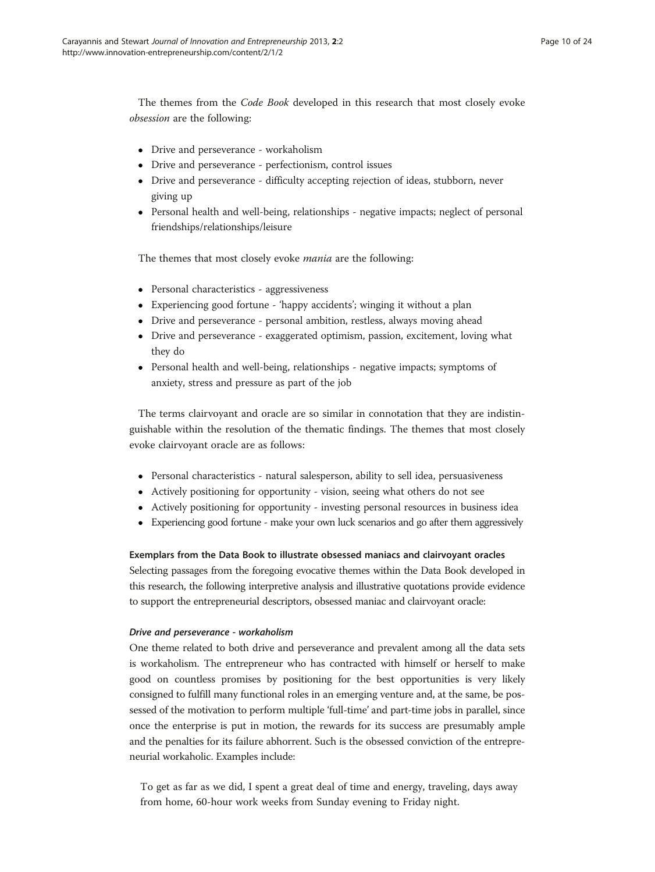The themes from the Code Book developed in this research that most closely evoke obsession are the following:

- Drive and perseverance workaholism
- Drive and perseverance perfectionism, control issues
- Drive and perseverance difficulty accepting rejection of ideas, stubborn, never giving up
- Personal health and well-being, relationships negative impacts; neglect of personal friendships/relationships/leisure

The themes that most closely evoke *mania* are the following:

- Personal characteristics aggressiveness
- Experiencing good fortune 'happy accidents'; winging it without a plan
- Drive and perseverance personal ambition, restless, always moving ahead
- Drive and perseverance exaggerated optimism, passion, excitement, loving what they do
- Personal health and well-being, relationships negative impacts; symptoms of anxiety, stress and pressure as part of the job

The terms clairvoyant and oracle are so similar in connotation that they are indistinguishable within the resolution of the thematic findings. The themes that most closely evoke clairvoyant oracle are as follows:

- Personal characteristics natural salesperson, ability to sell idea, persuasiveness
- Actively positioning for opportunity vision, seeing what others do not see
- Actively positioning for opportunity investing personal resources in business idea
- Experiencing good fortune make your own luck scenarios and go after them aggressively

# Exemplars from the Data Book to illustrate obsessed maniacs and clairvoyant oracles

Selecting passages from the foregoing evocative themes within the Data Book developed in this research, the following interpretive analysis and illustrative quotations provide evidence to support the entrepreneurial descriptors, obsessed maniac and clairvoyant oracle:

### Drive and perseverance - workaholism

One theme related to both drive and perseverance and prevalent among all the data sets is workaholism. The entrepreneur who has contracted with himself or herself to make good on countless promises by positioning for the best opportunities is very likely consigned to fulfill many functional roles in an emerging venture and, at the same, be possessed of the motivation to perform multiple 'full-time' and part-time jobs in parallel, since once the enterprise is put in motion, the rewards for its success are presumably ample and the penalties for its failure abhorrent. Such is the obsessed conviction of the entrepreneurial workaholic. Examples include:

To get as far as we did, I spent a great deal of time and energy, traveling, days away from home, 60-hour work weeks from Sunday evening to Friday night.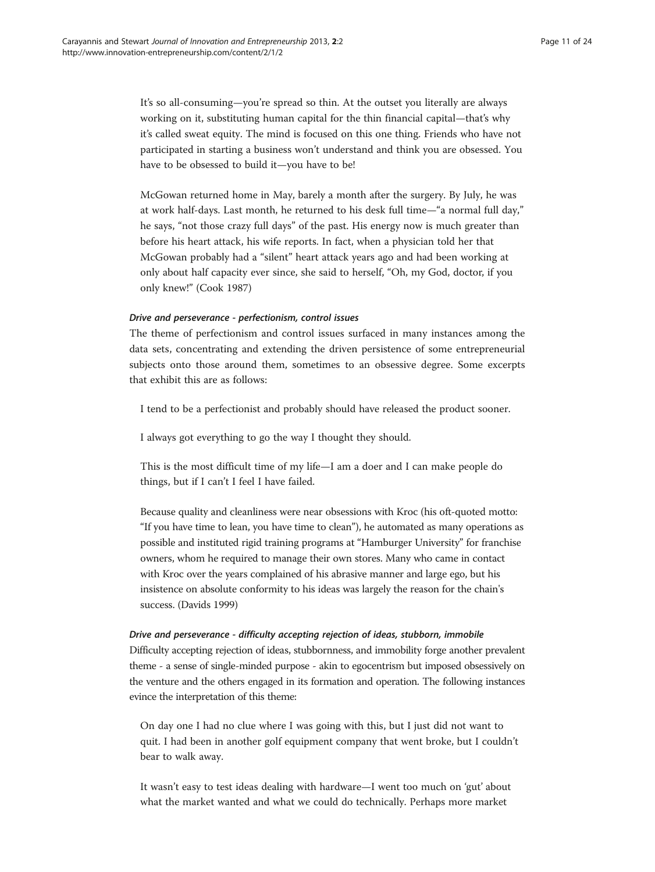It's so all-consuming—you're spread so thin. At the outset you literally are always working on it, substituting human capital for the thin financial capital—that's why it's called sweat equity. The mind is focused on this one thing. Friends who have not participated in starting a business won't understand and think you are obsessed. You have to be obsessed to build it—you have to be!

McGowan returned home in May, barely a month after the surgery. By July, he was at work half-days. Last month, he returned to his desk full time—"a normal full day," he says, "not those crazy full days" of the past. His energy now is much greater than before his heart attack, his wife reports. In fact, when a physician told her that McGowan probably had a "silent" heart attack years ago and had been working at only about half capacity ever since, she said to herself, "Oh, my God, doctor, if you only knew!" (Cook [1987\)](#page-23-0)

#### Drive and perseverance - perfectionism, control issues

The theme of perfectionism and control issues surfaced in many instances among the data sets, concentrating and extending the driven persistence of some entrepreneurial subjects onto those around them, sometimes to an obsessive degree. Some excerpts that exhibit this are as follows:

I tend to be a perfectionist and probably should have released the product sooner.

I always got everything to go the way I thought they should.

This is the most difficult time of my life—I am a doer and I can make people do things, but if I can't I feel I have failed.

Because quality and cleanliness were near obsessions with Kroc (his oft-quoted motto: "If you have time to lean, you have time to clean"), he automated as many operations as possible and instituted rigid training programs at "Hamburger University" for franchise owners, whom he required to manage their own stores. Many who came in contact with Kroc over the years complained of his abrasive manner and large ego, but his insistence on absolute conformity to his ideas was largely the reason for the chain's success. (Davids [1999](#page-23-0))

#### Drive and perseverance - difficulty accepting rejection of ideas, stubborn, immobile

Difficulty accepting rejection of ideas, stubbornness, and immobility forge another prevalent theme - a sense of single-minded purpose - akin to egocentrism but imposed obsessively on the venture and the others engaged in its formation and operation. The following instances evince the interpretation of this theme:

On day one I had no clue where I was going with this, but I just did not want to quit. I had been in another golf equipment company that went broke, but I couldn't bear to walk away.

It wasn't easy to test ideas dealing with hardware—I went too much on 'gut' about what the market wanted and what we could do technically. Perhaps more market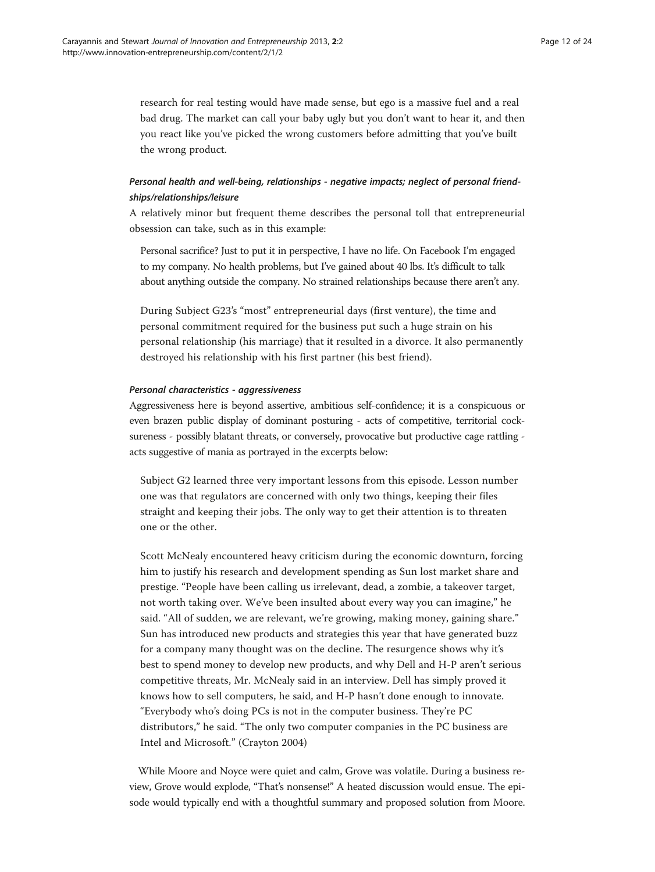research for real testing would have made sense, but ego is a massive fuel and a real bad drug. The market can call your baby ugly but you don't want to hear it, and then you react like you've picked the wrong customers before admitting that you've built the wrong product.

# Personal health and well-being, relationships - negative impacts; neglect of personal friendships/relationships/leisure

A relatively minor but frequent theme describes the personal toll that entrepreneurial obsession can take, such as in this example:

Personal sacrifice? Just to put it in perspective, I have no life. On Facebook I'm engaged to my company. No health problems, but I've gained about 40 lbs. It's difficult to talk about anything outside the company. No strained relationships because there aren't any.

During Subject G23's "most" entrepreneurial days (first venture), the time and personal commitment required for the business put such a huge strain on his personal relationship (his marriage) that it resulted in a divorce. It also permanently destroyed his relationship with his first partner (his best friend).

#### Personal characteristics - aggressiveness

Aggressiveness here is beyond assertive, ambitious self-confidence; it is a conspicuous or even brazen public display of dominant posturing - acts of competitive, territorial cocksureness - possibly blatant threats, or conversely, provocative but productive cage rattling acts suggestive of mania as portrayed in the excerpts below:

Subject G2 learned three very important lessons from this episode. Lesson number one was that regulators are concerned with only two things, keeping their files straight and keeping their jobs. The only way to get their attention is to threaten one or the other.

Scott McNealy encountered heavy criticism during the economic downturn, forcing him to justify his research and development spending as Sun lost market share and prestige. "People have been calling us irrelevant, dead, a zombie, a takeover target, not worth taking over. We've been insulted about every way you can imagine," he said. "All of sudden, we are relevant, we're growing, making money, gaining share." Sun has introduced new products and strategies this year that have generated buzz for a company many thought was on the decline. The resurgence shows why it's best to spend money to develop new products, and why Dell and H-P aren't serious competitive threats, Mr. McNealy said in an interview. Dell has simply proved it knows how to sell computers, he said, and H-P hasn't done enough to innovate. "Everybody who's doing PCs is not in the computer business. They're PC distributors," he said. "The only two computer companies in the PC business are Intel and Microsoft." (Crayton [2004](#page-23-0))

While Moore and Noyce were quiet and calm, Grove was volatile. During a business review, Grove would explode, "That's nonsense!" A heated discussion would ensue. The episode would typically end with a thoughtful summary and proposed solution from Moore.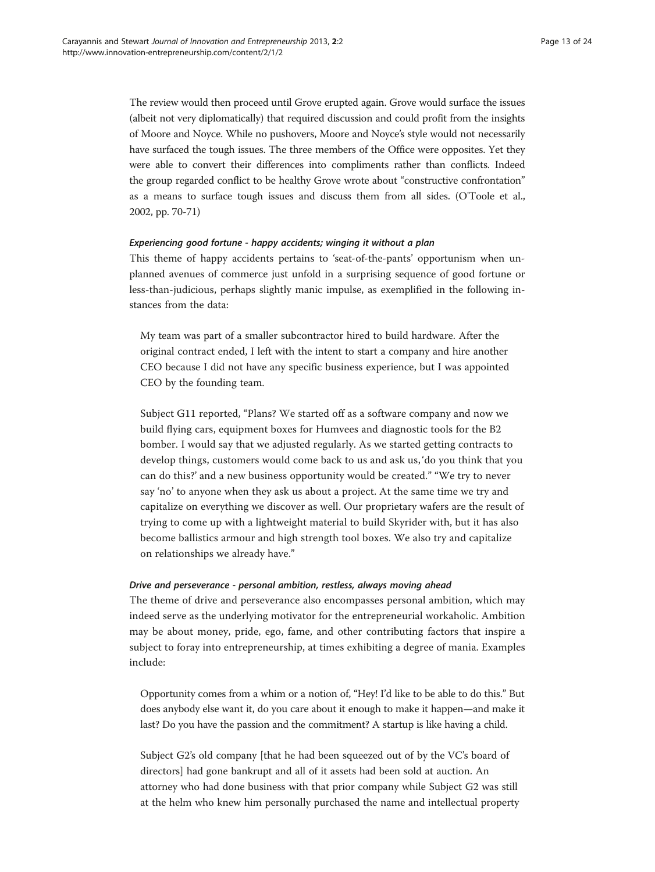The review would then proceed until Grove erupted again. Grove would surface the issues (albeit not very diplomatically) that required discussion and could profit from the insights of Moore and Noyce. While no pushovers, Moore and Noyce's style would not necessarily have surfaced the tough issues. The three members of the Office were opposites. Yet they were able to convert their differences into compliments rather than conflicts. Indeed the group regarded conflict to be healthy Grove wrote about "constructive confrontation" as a means to surface tough issues and discuss them from all sides. (O'Toole et al., [2002,](#page-23-0) pp. 70-71)

#### Experiencing good fortune - happy accidents; winging it without a plan

This theme of happy accidents pertains to 'seat-of-the-pants' opportunism when unplanned avenues of commerce just unfold in a surprising sequence of good fortune or less-than-judicious, perhaps slightly manic impulse, as exemplified in the following instances from the data:

My team was part of a smaller subcontractor hired to build hardware. After the original contract ended, I left with the intent to start a company and hire another CEO because I did not have any specific business experience, but I was appointed CEO by the founding team.

Subject G11 reported, "Plans? We started off as a software company and now we build flying cars, equipment boxes for Humvees and diagnostic tools for the B2 bomber. I would say that we adjusted regularly. As we started getting contracts to develop things, customers would come back to us and ask us, 'do you think that you can do this?' and a new business opportunity would be created." "We try to never say 'no' to anyone when they ask us about a project. At the same time we try and capitalize on everything we discover as well. Our proprietary wafers are the result of trying to come up with a lightweight material to build Skyrider with, but it has also become ballistics armour and high strength tool boxes. We also try and capitalize on relationships we already have."

#### Drive and perseverance - personal ambition, restless, always moving ahead

The theme of drive and perseverance also encompasses personal ambition, which may indeed serve as the underlying motivator for the entrepreneurial workaholic. Ambition may be about money, pride, ego, fame, and other contributing factors that inspire a subject to foray into entrepreneurship, at times exhibiting a degree of mania. Examples include:

Opportunity comes from a whim or a notion of, "Hey! I'd like to be able to do this." But does anybody else want it, do you care about it enough to make it happen—and make it last? Do you have the passion and the commitment? A startup is like having a child.

Subject G2's old company [that he had been squeezed out of by the VC's board of directors] had gone bankrupt and all of it assets had been sold at auction. An attorney who had done business with that prior company while Subject G2 was still at the helm who knew him personally purchased the name and intellectual property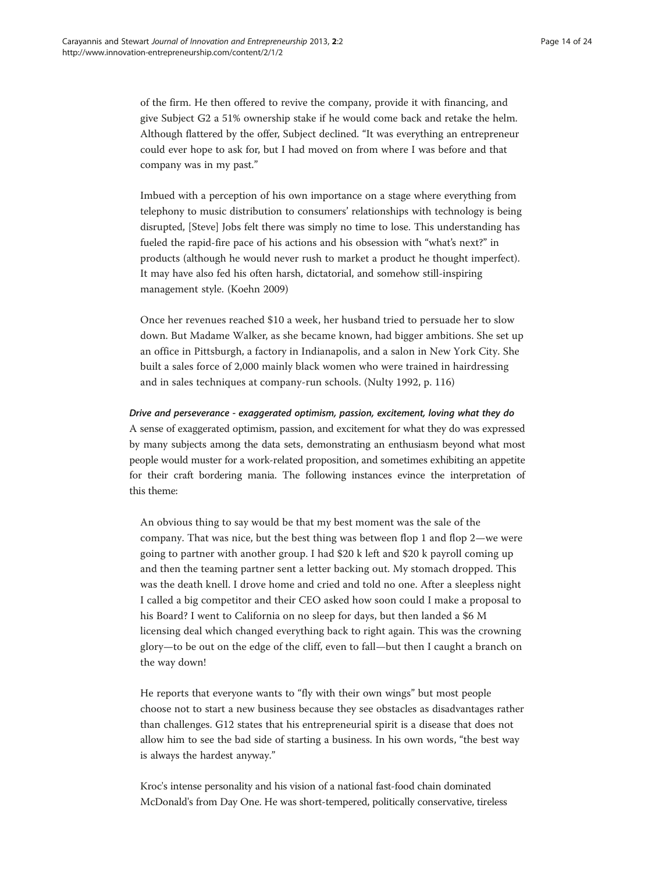of the firm. He then offered to revive the company, provide it with financing, and give Subject G2 a 51% ownership stake if he would come back and retake the helm. Although flattered by the offer, Subject declined. "It was everything an entrepreneur could ever hope to ask for, but I had moved on from where I was before and that company was in my past."

Imbued with a perception of his own importance on a stage where everything from telephony to music distribution to consumers' relationships with technology is being disrupted, [Steve] Jobs felt there was simply no time to lose. This understanding has fueled the rapid-fire pace of his actions and his obsession with "what's next?" in products (although he would never rush to market a product he thought imperfect). It may have also fed his often harsh, dictatorial, and somehow still-inspiring management style. (Koehn [2009](#page-23-0))

Once her revenues reached \$10 a week, her husband tried to persuade her to slow down. But Madame Walker, as she became known, had bigger ambitions. She set up an office in Pittsburgh, a factory in Indianapolis, and a salon in New York City. She built a sales force of 2,000 mainly black women who were trained in hairdressing and in sales techniques at company-run schools. (Nulty [1992,](#page-23-0) p. 116)

#### Drive and perseverance - exaggerated optimism, passion, excitement, loving what they do

A sense of exaggerated optimism, passion, and excitement for what they do was expressed by many subjects among the data sets, demonstrating an enthusiasm beyond what most people would muster for a work-related proposition, and sometimes exhibiting an appetite for their craft bordering mania. The following instances evince the interpretation of this theme:

An obvious thing to say would be that my best moment was the sale of the company. That was nice, but the best thing was between flop 1 and flop 2—we were going to partner with another group. I had \$20 k left and \$20 k payroll coming up and then the teaming partner sent a letter backing out. My stomach dropped. This was the death knell. I drove home and cried and told no one. After a sleepless night I called a big competitor and their CEO asked how soon could I make a proposal to his Board? I went to California on no sleep for days, but then landed a \$6 M licensing deal which changed everything back to right again. This was the crowning glory—to be out on the edge of the cliff, even to fall—but then I caught a branch on the way down!

He reports that everyone wants to "fly with their own wings" but most people choose not to start a new business because they see obstacles as disadvantages rather than challenges. G12 states that his entrepreneurial spirit is a disease that does not allow him to see the bad side of starting a business. In his own words, "the best way is always the hardest anyway."

Kroc's intense personality and his vision of a national fast-food chain dominated McDonald's from Day One. He was short-tempered, politically conservative, tireless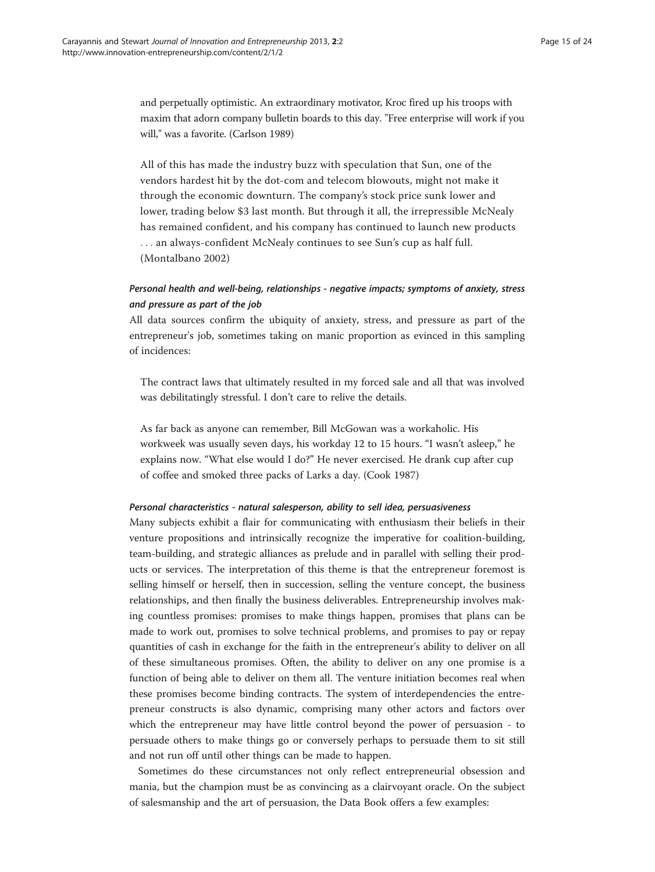and perpetually optimistic. An extraordinary motivator, Kroc fired up his troops with maxim that adorn company bulletin boards to this day. "Free enterprise will work if you will," was a favorite. (Carlson [1989](#page-23-0))

All of this has made the industry buzz with speculation that Sun, one of the vendors hardest hit by the dot-com and telecom blowouts, might not make it through the economic downturn. The company's stock price sunk lower and lower, trading below \$3 last month. But through it all, the irrepressible McNealy has remained confident, and his company has continued to launch new products ... an always-confident McNealy continues to see Sun's cup as half full. (Montalbano [2002\)](#page-23-0)

# Personal health and well-being, relationships - negative impacts; symptoms of anxiety, stress and pressure as part of the job

All data sources confirm the ubiquity of anxiety, stress, and pressure as part of the entrepreneur's job, sometimes taking on manic proportion as evinced in this sampling of incidences:

The contract laws that ultimately resulted in my forced sale and all that was involved was debilitatingly stressful. I don't care to relive the details.

As far back as anyone can remember, Bill McGowan was a workaholic. His workweek was usually seven days, his workday 12 to 15 hours. "I wasn't asleep," he explains now. "What else would I do?" He never exercised. He drank cup after cup of coffee and smoked three packs of Larks a day. (Cook [1987](#page-23-0))

#### Personal characteristics - natural salesperson, ability to sell idea, persuasiveness

Many subjects exhibit a flair for communicating with enthusiasm their beliefs in their venture propositions and intrinsically recognize the imperative for coalition-building, team-building, and strategic alliances as prelude and in parallel with selling their products or services. The interpretation of this theme is that the entrepreneur foremost is selling himself or herself, then in succession, selling the venture concept, the business relationships, and then finally the business deliverables. Entrepreneurship involves making countless promises: promises to make things happen, promises that plans can be made to work out, promises to solve technical problems, and promises to pay or repay quantities of cash in exchange for the faith in the entrepreneur's ability to deliver on all of these simultaneous promises. Often, the ability to deliver on any one promise is a function of being able to deliver on them all. The venture initiation becomes real when these promises become binding contracts. The system of interdependencies the entrepreneur constructs is also dynamic, comprising many other actors and factors over which the entrepreneur may have little control beyond the power of persuasion - to persuade others to make things go or conversely perhaps to persuade them to sit still and not run off until other things can be made to happen.

Sometimes do these circumstances not only reflect entrepreneurial obsession and mania, but the champion must be as convincing as a clairvoyant oracle. On the subject of salesmanship and the art of persuasion, the Data Book offers a few examples: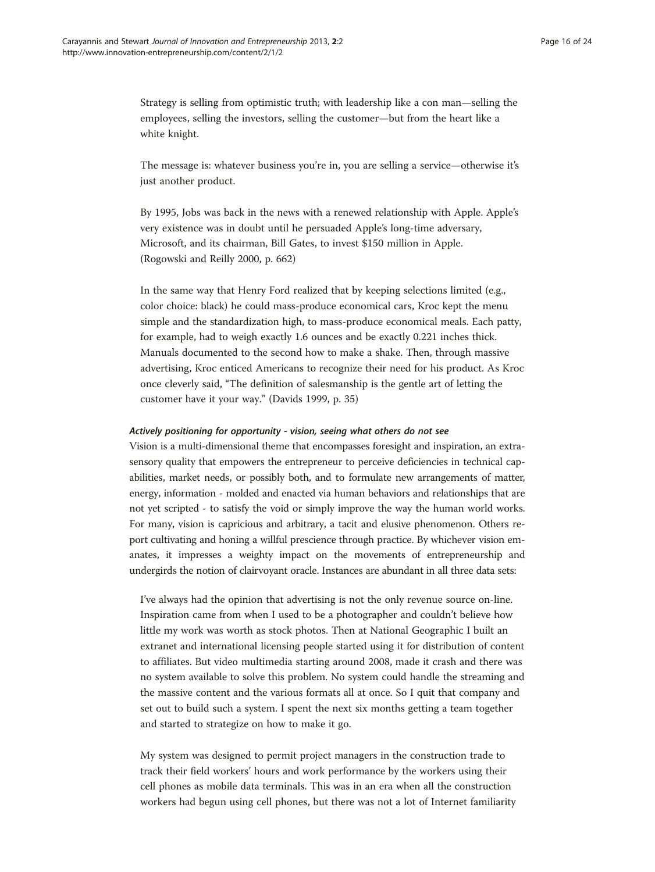Strategy is selling from optimistic truth; with leadership like a con man—selling the employees, selling the investors, selling the customer—but from the heart like a white knight.

The message is: whatever business you're in, you are selling a service—otherwise it's just another product.

By 1995, Jobs was back in the news with a renewed relationship with Apple. Apple's very existence was in doubt until he persuaded Apple's long-time adversary, Microsoft, and its chairman, Bill Gates, to invest \$150 million in Apple. (Rogowski and Reilly [2000,](#page-23-0) p. 662)

In the same way that Henry Ford realized that by keeping selections limited (e.g., color choice: black) he could mass-produce economical cars, Kroc kept the menu simple and the standardization high, to mass-produce economical meals. Each patty, for example, had to weigh exactly 1.6 ounces and be exactly 0.221 inches thick. Manuals documented to the second how to make a shake. Then, through massive advertising, Kroc enticed Americans to recognize their need for his product. As Kroc once cleverly said, "The definition of salesmanship is the gentle art of letting the customer have it your way." (Davids [1999,](#page-23-0) p. 35)

#### Actively positioning for opportunity - vision, seeing what others do not see

Vision is a multi-dimensional theme that encompasses foresight and inspiration, an extrasensory quality that empowers the entrepreneur to perceive deficiencies in technical capabilities, market needs, or possibly both, and to formulate new arrangements of matter, energy, information - molded and enacted via human behaviors and relationships that are not yet scripted - to satisfy the void or simply improve the way the human world works. For many, vision is capricious and arbitrary, a tacit and elusive phenomenon. Others report cultivating and honing a willful prescience through practice. By whichever vision emanates, it impresses a weighty impact on the movements of entrepreneurship and undergirds the notion of clairvoyant oracle. Instances are abundant in all three data sets:

I've always had the opinion that advertising is not the only revenue source on-line. Inspiration came from when I used to be a photographer and couldn't believe how little my work was worth as stock photos. Then at National Geographic I built an extranet and international licensing people started using it for distribution of content to affiliates. But video multimedia starting around 2008, made it crash and there was no system available to solve this problem. No system could handle the streaming and the massive content and the various formats all at once. So I quit that company and set out to build such a system. I spent the next six months getting a team together and started to strategize on how to make it go.

My system was designed to permit project managers in the construction trade to track their field workers' hours and work performance by the workers using their cell phones as mobile data terminals. This was in an era when all the construction workers had begun using cell phones, but there was not a lot of Internet familiarity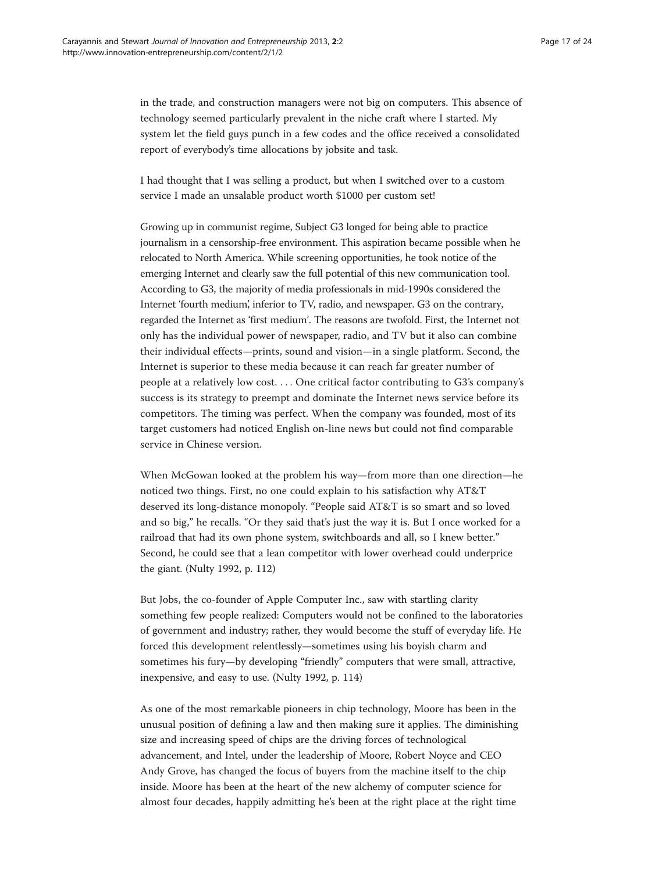in the trade, and construction managers were not big on computers. This absence of technology seemed particularly prevalent in the niche craft where I started. My system let the field guys punch in a few codes and the office received a consolidated report of everybody's time allocations by jobsite and task.

I had thought that I was selling a product, but when I switched over to a custom service I made an unsalable product worth \$1000 per custom set!

Growing up in communist regime, Subject G3 longed for being able to practice journalism in a censorship-free environment. This aspiration became possible when he relocated to North America. While screening opportunities, he took notice of the emerging Internet and clearly saw the full potential of this new communication tool. According to G3, the majority of media professionals in mid-1990s considered the Internet 'fourth medium', inferior to TV, radio, and newspaper. G3 on the contrary, regarded the Internet as 'first medium'. The reasons are twofold. First, the Internet not only has the individual power of newspaper, radio, and TV but it also can combine their individual effects—prints, sound and vision—in a single platform. Second, the Internet is superior to these media because it can reach far greater number of people at a relatively low cost. ... One critical factor contributing to G3's company's success is its strategy to preempt and dominate the Internet news service before its competitors. The timing was perfect. When the company was founded, most of its target customers had noticed English on-line news but could not find comparable service in Chinese version.

When McGowan looked at the problem his way—from more than one direction—he noticed two things. First, no one could explain to his satisfaction why AT&T deserved its long-distance monopoly. "People said AT&T is so smart and so loved and so big," he recalls. "Or they said that's just the way it is. But I once worked for a railroad that had its own phone system, switchboards and all, so I knew better." Second, he could see that a lean competitor with lower overhead could underprice the giant. (Nulty [1992](#page-23-0), p. 112)

But Jobs, the co-founder of Apple Computer Inc., saw with startling clarity something few people realized: Computers would not be confined to the laboratories of government and industry; rather, they would become the stuff of everyday life. He forced this development relentlessly—sometimes using his boyish charm and sometimes his fury—by developing "friendly" computers that were small, attractive, inexpensive, and easy to use. (Nulty [1992,](#page-23-0) p. 114)

As one of the most remarkable pioneers in chip technology, Moore has been in the unusual position of defining a law and then making sure it applies. The diminishing size and increasing speed of chips are the driving forces of technological advancement, and Intel, under the leadership of Moore, Robert Noyce and CEO Andy Grove, has changed the focus of buyers from the machine itself to the chip inside. Moore has been at the heart of the new alchemy of computer science for almost four decades, happily admitting he's been at the right place at the right time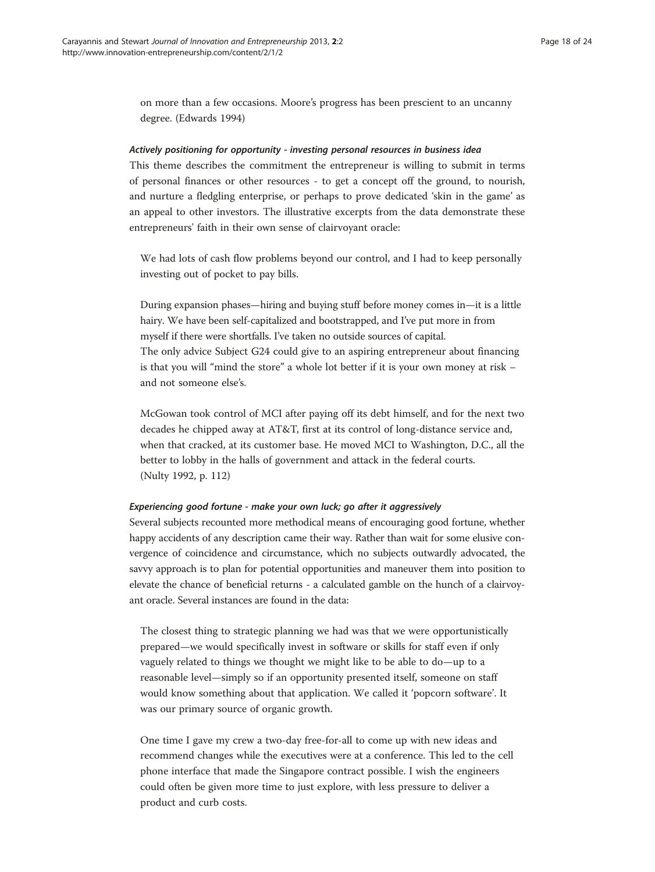on more than a few occasions. Moore's progress has been prescient to an uncanny degree. (Edwards [1994\)](#page-23-0)

#### Actively positioning for opportunity - investing personal resources in business idea

This theme describes the commitment the entrepreneur is willing to submit in terms of personal finances or other resources - to get a concept off the ground, to nourish, and nurture a fledgling enterprise, or perhaps to prove dedicated 'skin in the game' as an appeal to other investors. The illustrative excerpts from the data demonstrate these entrepreneurs' faith in their own sense of clairvoyant oracle:

We had lots of cash flow problems beyond our control, and I had to keep personally investing out of pocket to pay bills.

During expansion phases—hiring and buying stuff before money comes in—it is a little hairy. We have been self-capitalized and bootstrapped, and I've put more in from myself if there were shortfalls. I've taken no outside sources of capital. The only advice Subject G24 could give to an aspiring entrepreneur about financing is that you will "mind the store" a whole lot better if it is your own money at risk – and not someone else's.

McGowan took control of MCI after paying off its debt himself, and for the next two decades he chipped away at AT&T, first at its control of long-distance service and, when that cracked, at its customer base. He moved MCI to Washington, D.C., all the better to lobby in the halls of government and attack in the federal courts. (Nulty [1992](#page-23-0), p. 112)

### Experiencing good fortune - make your own luck; go after it aggressively

Several subjects recounted more methodical means of encouraging good fortune, whether happy accidents of any description came their way. Rather than wait for some elusive convergence of coincidence and circumstance, which no subjects outwardly advocated, the savvy approach is to plan for potential opportunities and maneuver them into position to elevate the chance of beneficial returns - a calculated gamble on the hunch of a clairvoyant oracle. Several instances are found in the data:

The closest thing to strategic planning we had was that we were opportunistically prepared—we would specifically invest in software or skills for staff even if only vaguely related to things we thought we might like to be able to do—up to a reasonable level—simply so if an opportunity presented itself, someone on staff would know something about that application. We called it 'popcorn software'. It was our primary source of organic growth.

One time I gave my crew a two-day free-for-all to come up with new ideas and recommend changes while the executives were at a conference. This led to the cell phone interface that made the Singapore contract possible. I wish the engineers could often be given more time to just explore, with less pressure to deliver a product and curb costs.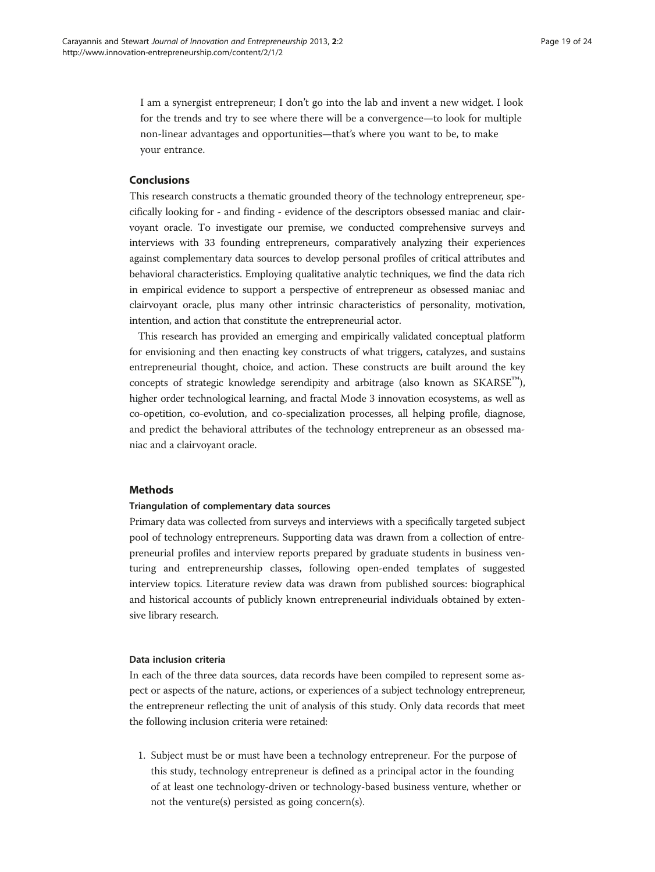I am a synergist entrepreneur; I don't go into the lab and invent a new widget. I look for the trends and try to see where there will be a convergence—to look for multiple non-linear advantages and opportunities—that's where you want to be, to make your entrance.

# Conclusions

This research constructs a thematic grounded theory of the technology entrepreneur, specifically looking for - and finding - evidence of the descriptors obsessed maniac and clairvoyant oracle. To investigate our premise, we conducted comprehensive surveys and interviews with 33 founding entrepreneurs, comparatively analyzing their experiences against complementary data sources to develop personal profiles of critical attributes and behavioral characteristics. Employing qualitative analytic techniques, we find the data rich in empirical evidence to support a perspective of entrepreneur as obsessed maniac and clairvoyant oracle, plus many other intrinsic characteristics of personality, motivation, intention, and action that constitute the entrepreneurial actor.

This research has provided an emerging and empirically validated conceptual platform for envisioning and then enacting key constructs of what triggers, catalyzes, and sustains entrepreneurial thought, choice, and action. These constructs are built around the key concepts of strategic knowledge serendipity and arbitrage (also known as SKARSE™), higher order technological learning, and fractal Mode 3 innovation ecosystems, as well as co-opetition, co-evolution, and co-specialization processes, all helping profile, diagnose, and predict the behavioral attributes of the technology entrepreneur as an obsessed maniac and a clairvoyant oracle.

#### Methods

#### Triangulation of complementary data sources

Primary data was collected from surveys and interviews with a specifically targeted subject pool of technology entrepreneurs. Supporting data was drawn from a collection of entrepreneurial profiles and interview reports prepared by graduate students in business venturing and entrepreneurship classes, following open-ended templates of suggested interview topics. Literature review data was drawn from published sources: biographical and historical accounts of publicly known entrepreneurial individuals obtained by extensive library research.

#### Data inclusion criteria

In each of the three data sources, data records have been compiled to represent some aspect or aspects of the nature, actions, or experiences of a subject technology entrepreneur, the entrepreneur reflecting the unit of analysis of this study. Only data records that meet the following inclusion criteria were retained:

1. Subject must be or must have been a technology entrepreneur. For the purpose of this study, technology entrepreneur is defined as a principal actor in the founding of at least one technology-driven or technology-based business venture, whether or not the venture(s) persisted as going concern(s).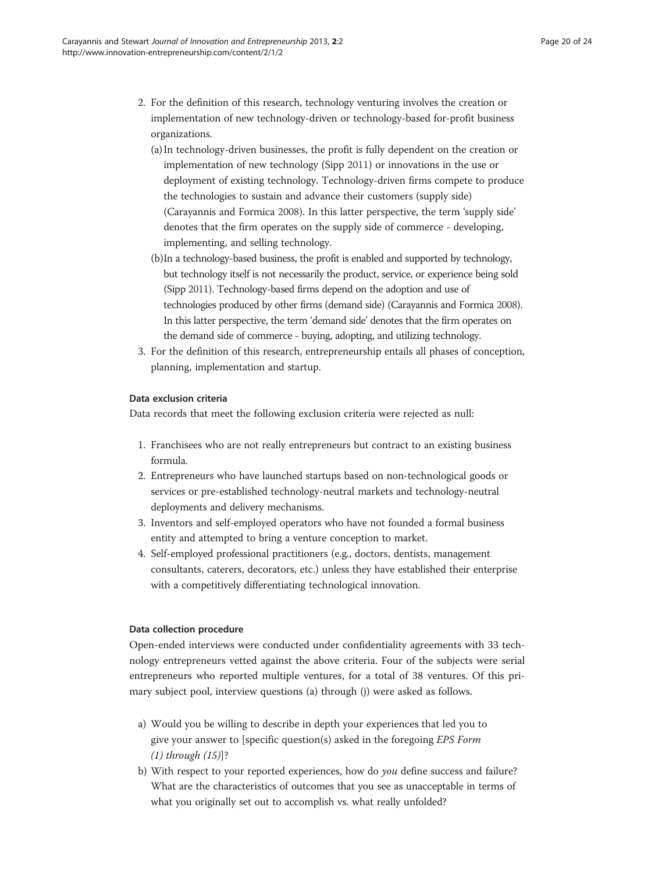- 2. For the definition of this research, technology venturing involves the creation or implementation of new technology-driven or technology-based for-profit business organizations.
	- (a) In technology-driven businesses, the profit is fully dependent on the creation or implementation of new technology (Sipp [2011](#page-23-0)) or innovations in the use or deployment of existing technology. Technology-driven firms compete to produce the technologies to sustain and advance their customers (supply side) (Carayannis and Formica [2008](#page-22-0)). In this latter perspective, the term 'supply side' denotes that the firm operates on the supply side of commerce - developing, implementing, and selling technology.
	- (b)In a technology-based business, the profit is enabled and supported by technology, but technology itself is not necessarily the product, service, or experience being sold (Sipp [2011\)](#page-23-0). Technology-based firms depend on the adoption and use of technologies produced by other firms (demand side) (Carayannis and Formica [2008](#page-22-0)). In this latter perspective, the term 'demand side' denotes that the firm operates on the demand side of commerce - buying, adopting, and utilizing technology.
- 3. For the definition of this research, entrepreneurship entails all phases of conception, planning, implementation and startup.

### Data exclusion criteria

Data records that meet the following exclusion criteria were rejected as null:

- 1. Franchisees who are not really entrepreneurs but contract to an existing business formula.
- 2. Entrepreneurs who have launched startups based on non-technological goods or services or pre-established technology-neutral markets and technology-neutral deployments and delivery mechanisms.
- 3. Inventors and self-employed operators who have not founded a formal business entity and attempted to bring a venture conception to market.
- 4. Self-employed professional practitioners (e.g., doctors, dentists, management consultants, caterers, decorators, etc.) unless they have established their enterprise with a competitively differentiating technological innovation.

### Data collection procedure

Open-ended interviews were conducted under confidentiality agreements with 33 technology entrepreneurs vetted against the above criteria. Four of the subjects were serial entrepreneurs who reported multiple ventures, for a total of 38 ventures. Of this primary subject pool, interview questions (a) through (j) were asked as follows.

- a) Would you be willing to describe in depth your experiences that led you to give your answer to [specific question(s) asked in the foregoing EPS Form (1) through (15)]?
- b) With respect to your reported experiences, how do you define success and failure? What are the characteristics of outcomes that you see as unacceptable in terms of what you originally set out to accomplish vs. what really unfolded?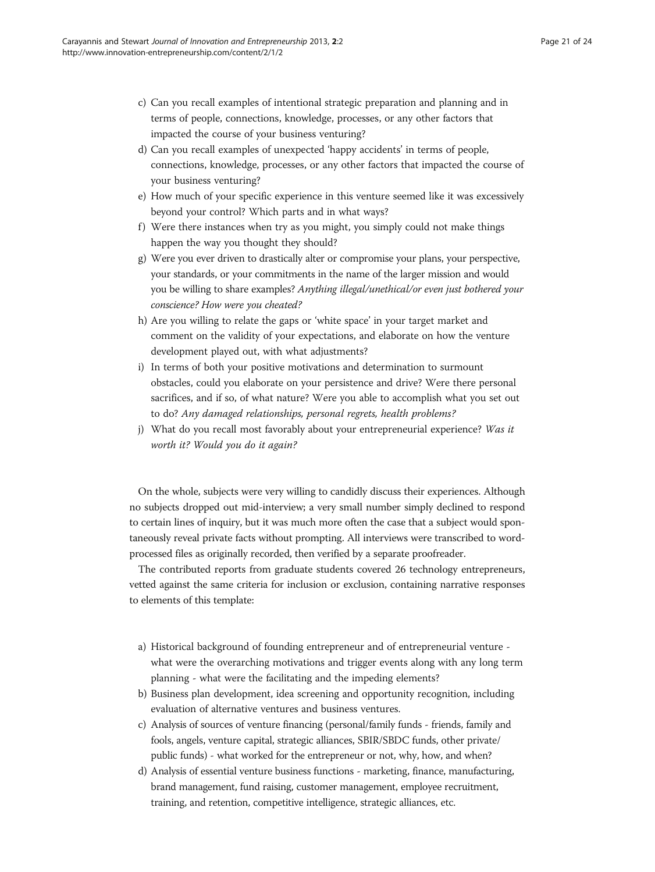- c) Can you recall examples of intentional strategic preparation and planning and in terms of people, connections, knowledge, processes, or any other factors that impacted the course of your business venturing?
- d) Can you recall examples of unexpected 'happy accidents' in terms of people, connections, knowledge, processes, or any other factors that impacted the course of your business venturing?
- e) How much of your specific experience in this venture seemed like it was excessively beyond your control? Which parts and in what ways?
- f) Were there instances when try as you might, you simply could not make things happen the way you thought they should?
- g) Were you ever driven to drastically alter or compromise your plans, your perspective, your standards, or your commitments in the name of the larger mission and would you be willing to share examples? Anything illegal/unethical/or even just bothered your conscience? How were you cheated?
- h) Are you willing to relate the gaps or 'white space' in your target market and comment on the validity of your expectations, and elaborate on how the venture development played out, with what adjustments?
- i) In terms of both your positive motivations and determination to surmount obstacles, could you elaborate on your persistence and drive? Were there personal sacrifices, and if so, of what nature? Were you able to accomplish what you set out to do? Any damaged relationships, personal regrets, health problems?
- j) What do you recall most favorably about your entrepreneurial experience? Was it worth it? Would you do it again?

On the whole, subjects were very willing to candidly discuss their experiences. Although no subjects dropped out mid-interview; a very small number simply declined to respond to certain lines of inquiry, but it was much more often the case that a subject would spontaneously reveal private facts without prompting. All interviews were transcribed to wordprocessed files as originally recorded, then verified by a separate proofreader.

The contributed reports from graduate students covered 26 technology entrepreneurs, vetted against the same criteria for inclusion or exclusion, containing narrative responses to elements of this template:

- a) Historical background of founding entrepreneur and of entrepreneurial venture what were the overarching motivations and trigger events along with any long term planning - what were the facilitating and the impeding elements?
- b) Business plan development, idea screening and opportunity recognition, including evaluation of alternative ventures and business ventures.
- c) Analysis of sources of venture financing (personal/family funds friends, family and fools, angels, venture capital, strategic alliances, SBIR/SBDC funds, other private/ public funds) - what worked for the entrepreneur or not, why, how, and when?
- d) Analysis of essential venture business functions marketing, finance, manufacturing, brand management, fund raising, customer management, employee recruitment, training, and retention, competitive intelligence, strategic alliances, etc.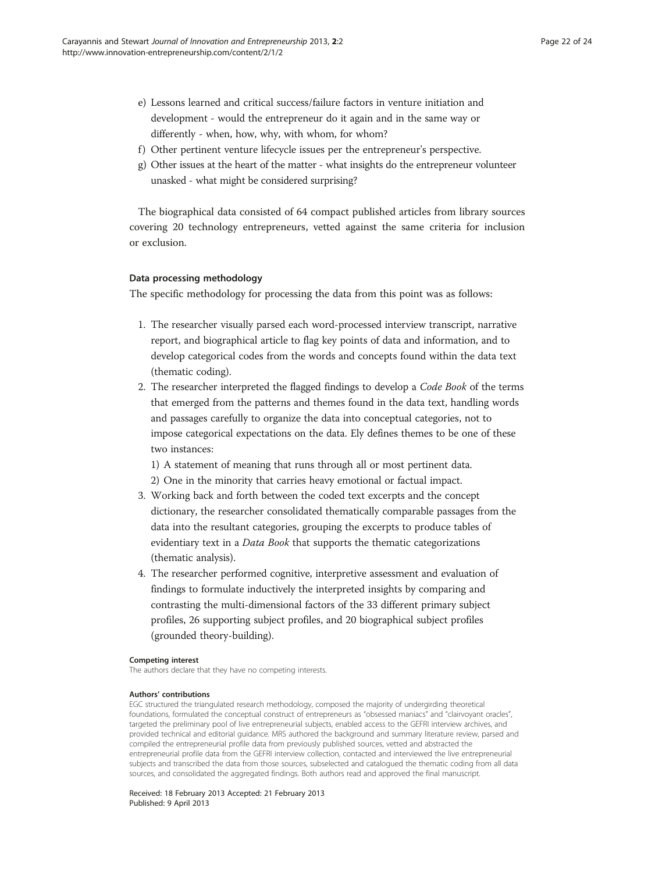- e) Lessons learned and critical success/failure factors in venture initiation and development - would the entrepreneur do it again and in the same way or differently - when, how, why, with whom, for whom?
- f) Other pertinent venture lifecycle issues per the entrepreneur's perspective.
- g) Other issues at the heart of the matter what insights do the entrepreneur volunteer unasked - what might be considered surprising?

The biographical data consisted of 64 compact published articles from library sources covering 20 technology entrepreneurs, vetted against the same criteria for inclusion or exclusion.

#### Data processing methodology

The specific methodology for processing the data from this point was as follows:

- 1. The researcher visually parsed each word-processed interview transcript, narrative report, and biographical article to flag key points of data and information, and to develop categorical codes from the words and concepts found within the data text (thematic coding).
- 2. The researcher interpreted the flagged findings to develop a Code Book of the terms that emerged from the patterns and themes found in the data text, handling words and passages carefully to organize the data into conceptual categories, not to impose categorical expectations on the data. Ely defines themes to be one of these two instances:
	- 1) A statement of meaning that runs through all or most pertinent data.
	- 2) One in the minority that carries heavy emotional or factual impact.
- 3. Working back and forth between the coded text excerpts and the concept dictionary, the researcher consolidated thematically comparable passages from the data into the resultant categories, grouping the excerpts to produce tables of evidentiary text in a *Data Book* that supports the thematic categorizations (thematic analysis).
- 4. The researcher performed cognitive, interpretive assessment and evaluation of findings to formulate inductively the interpreted insights by comparing and contrasting the multi-dimensional factors of the 33 different primary subject profiles, 26 supporting subject profiles, and 20 biographical subject profiles (grounded theory-building).

#### Competing interest

The authors declare that they have no competing interests.

#### Authors' contributions

EGC structured the triangulated research methodology, composed the majority of undergirding theoretical foundations, formulated the conceptual construct of entrepreneurs as "obsessed maniacs" and "clairvoyant oracles", targeted the preliminary pool of live entrepreneurial subjects, enabled access to the GEFRI interview archives, and provided technical and editorial guidance. MRS authored the background and summary literature review, parsed and compiled the entrepreneurial profile data from previously published sources, vetted and abstracted the entrepreneurial profile data from the GEFRI interview collection, contacted and interviewed the live entrepreneurial subjects and transcribed the data from those sources, subselected and catalogued the thematic coding from all data sources, and consolidated the aggregated findings. Both authors read and approved the final manuscript.

Received: 18 February 2013 Accepted: 21 February 2013 Published: 9 April 2013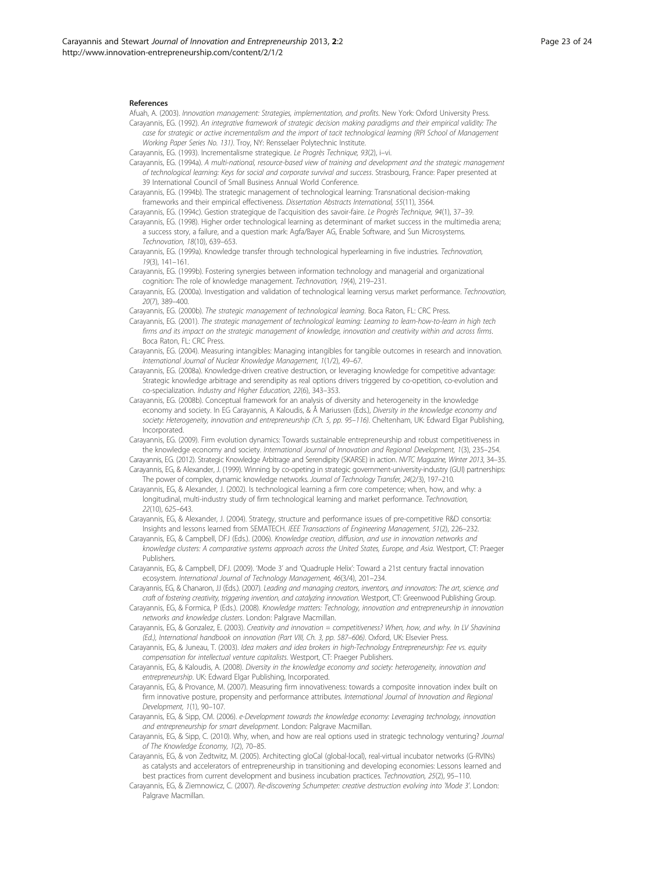#### <span id="page-22-0"></span>**References**

Afuah, A. (2003). Innovation management: Strategies, implementation, and profits. New York: Oxford University Press. Carayannis, EG. (1992). An integrative framework of strategic decision making paradigms and their empirical validity: The

- case for strategic or active incrementalism and the import of tacit technological learning (RPI School of Management Working Paper Series No. 131). Troy, NY: Rensselaer Polytechnic Institute.
- Carayannis, EG. (1993). Incrementalisme strategique. Le Progrès Technique, 93(2), i–vi.
- Carayannis, EG. (1994a). A multi-national, resource-based view of training and development and the strategic management of technological learning: Keys for social and corporate survival and success. Strasbourg, France: Paper presented at 39 International Council of Small Business Annual World Conference.
- Carayannis, EG. (1994b). The strategic management of technological learning: Transnational decision-making frameworks and their empirical effectiveness. Dissertation Abstracts International, 55(11), 3564.
- Carayannis, EG. (1994c). Gestion strategique de l'acquisition des savoir-faire. Le Progrès Technique, 94(1), 37–39.
- Carayannis, EG. (1998). Higher order technological learning as determinant of market success in the multimedia arena; a success story, a failure, and a question mark: Agfa/Bayer AG, Enable Software, and Sun Microsystems. Technovation, 18(10), 639–653.
- Carayannis, EG. (1999a). Knowledge transfer through technological hyperlearning in five industries. Technovation, 19(3), 141–161.
- Carayannis, EG. (1999b). Fostering synergies between information technology and managerial and organizational cognition: The role of knowledge management. Technovation, 19(4), 219–231.
- Carayannis, EG. (2000a). Investigation and validation of technological learning versus market performance. Technovation, 20(7), 389–400.
- Carayannis, EG. (2000b). The strategic management of technological learning. Boca Raton, FL: CRC Press.
- Carayannis, EG. (2001). The strategic management of technological learning: Learning to learn-how-to-learn in high tech firms and its impact on the strategic management of knowledge, innovation and creativity within and across firms. Boca Raton, FL: CRC Press.
- Carayannis, EG. (2004). Measuring intangibles: Managing intangibles for tangible outcomes in research and innovation. International Journal of Nuclear Knowledge Management, 1(1/2), 49–67.
- Carayannis, EG. (2008a). Knowledge-driven creative destruction, or leveraging knowledge for competitive advantage: Strategic knowledge arbitrage and serendipity as real options drivers triggered by co-opetition, co-evolution and co-specialization. Industry and Higher Education, 22(6), 343–353.
- Carayannis, EG. (2008b). Conceptual framework for an analysis of diversity and heterogeneity in the knowledge economy and society. In EG Carayannis, A Kaloudis, & Å Mariussen (Eds.), Diversity in the knowledge economy and society: Heterogeneity, innovation and entrepreneurship (Ch. 5, pp. 95-116). Cheltenham, UK: Edward Elgar Publishing, Incorporated.
- Carayannis, EG. (2009). Firm evolution dynamics: Towards sustainable entrepreneurship and robust competitiveness in the knowledge economy and society. International Journal of Innovation and Regional Development, 1(3), 235–254.
- Carayannis, EG. (2012). Strategic Knowledge Arbitrage and Serendipity (SKARSE) in action. NVTC Magazine, Winter 2013, 34–35. Carayannis, EG, & Alexander, J. (1999). Winning by co-opeting in strategic government-university-industry (GUI) partnerships: The power of complex, dynamic knowledge networks. Journal of Technology Transfer, 24(2/3), 197–210.
- Carayannis, EG, & Alexander, J. (2002). Is technological learning a firm core competence; when, how, and why: a longitudinal, multi-industry study of firm technological learning and market performance. Technovation, 22(10), 625–643.
- Carayannis, EG, & Alexander, J. (2004). Strategy, structure and performance issues of pre-competitive R&D consortia: Insights and lessons learned from SEMATECH. IEEE Transactions of Engineering Management, 51(2), 226–232.
- Carayannis, EG, & Campbell, DFJ (Eds.). (2006). Knowledge creation, diffusion, and use in innovation networks and knowledge clusters: A comparative systems approach across the United States, Europe, and Asia. Westport, CT: Praeger Publishers.
- Carayannis, EG, & Campbell, DFJ. (2009). 'Mode 3' and 'Quadruple Helix': Toward a 21st century fractal innovation ecosystem. International Journal of Technology Management, 46(3/4), 201–234.
- Carayannis, EG, & Chanaron, JJ (Eds.). (2007). Leading and managing creators, inventors, and innovators: The art, science, and craft of fostering creativity, triggering invention, and catalyzing innovation. Westport, CT: Greenwood Publishing Group.
- Carayannis, EG, & Formica, P (Eds.). (2008). Knowledge matters: Technology, innovation and entrepreneurship in innovation networks and knowledge clusters. London: Palgrave Macmillan.
- Carayannis, EG, & Gonzalez, E. (2003). Creativity and innovation = competitiveness? When, how, and why. In LV Shavinina (Ed.), International handbook on innovation (Part VIII, Ch. 3, pp. 587–606). Oxford, UK: Elsevier Press.
- Carayannis, EG, & Juneau, T. (2003). Idea makers and idea brokers in high-Technology Entrepreneurship: Fee vs. equity compensation for intellectual venture capitalists. Westport, CT: Praeger Publishers.
- Carayannis, EG, & Kaloudis, A. (2008). Diversity in the knowledge economy and society: heterogeneity, innovation and entrepreneurship. UK: Edward Elgar Publishing, Incorporated.
- Carayannis, EG, & Provance, M. (2007). Measuring firm innovativeness: towards a composite innovation index built on firm innovative posture, propensity and performance attributes. International Journal of Innovation and Regional Development, 1(1), 90–107.
- Carayannis, EG, & Sipp, CM. (2006). e-Development towards the knowledge economy: Leveraging technology, innovation and entrepreneurship for smart development. London: Palgrave Macmillan.
- Carayannis, EG, & Sipp, C. (2010). Why, when, and how are real options used in strategic technology venturing? Journal of The Knowledge Economy, 1(2), 70–85.
- Carayannis, EG, & von Zedtwitz, M. (2005). Architecting gloCal (global-local), real-virtual incubator networks (G-RVINs) as catalysts and accelerators of entrepreneurship in transitioning and developing economies: Lessons learned and best practices from current development and business incubation practices. Technovation, 25(2), 95–110.
- Carayannis, EG, & Ziemnowicz, C. (2007). Re-discovering Schumpeter: creative destruction evolving into 'Mode 3'. London: Palgrave Macmillan.